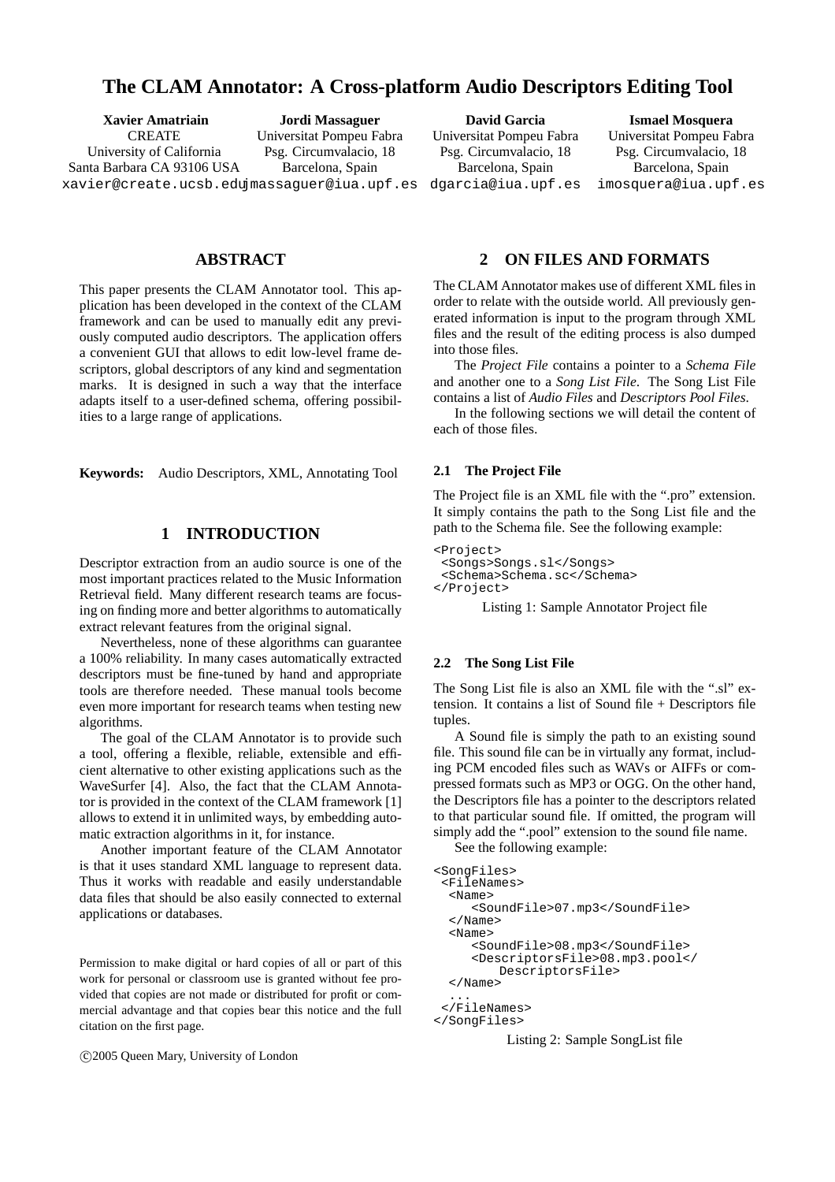# **The CLAM Annotator: A Cross-platform Audio Descriptors Editing Tool**

**Xavier Amatriain** CREATE University of California Santa Barbara CA 93106 USA xavier@create.ucsb.edu jmassaguer@iua.upf.es **Jordi Massaguer** Universitat Pompeu Fabra Psg. Circumvalacio, 18 Barcelona, Spain

**David Garcia** Universitat Pompeu Fabra Psg. Circumvalacio, 18 Barcelona, Spain dgarcia@iua.upf.es

**Ismael Mosquera** Universitat Pompeu Fabra Psg. Circumvalacio, 18 Barcelona, Spain imosquera@iua.upf.es

## **ABSTRACT**

This paper presents the CLAM Annotator tool. This application has been developed in the context of the CLAM framework and can be used to manually edit any previously computed audio descriptors. The application offers a convenient GUI that allows to edit low-level frame descriptors, global descriptors of any kind and segmentation marks. It is designed in such a way that the interface adapts itself to a user-defined schema, offering possibilities to a large range of applications.

**Keywords:** Audio Descriptors, XML, Annotating Tool

## **1 INTRODUCTION**

Descriptor extraction from an audio source is one of the most important practices related to the Music Information Retrieval field. Many different research teams are focusing on finding more and better algorithms to automatically extract relevant features from the original signal.

Nevertheless, none of these algorithms can guarantee a 100% reliability. In many cases automatically extracted descriptors must be fine-tuned by hand and appropriate tools are therefore needed. These manual tools become even more important for research teams when testing new algorithms.

The goal of the CLAM Annotator is to provide such a tool, offering a flexible, reliable, extensible and efficient alternative to other existing applications such as the WaveSurfer [4]. Also, the fact that the CLAM Annotator is provided in the context of the CLAM framework [1] allows to extend it in unlimited ways, by embedding automatic extraction algorithms in it, for instance.

Another important feature of the CLAM Annotator is that it uses standard XML language to represent data. Thus it works with readable and easily understandable data files that should be also easily connected to external applications or databases.

Permission to make digital or hard copies of all or part of this work for personal or classroom use is granted without fee provided that copies are not made or distributed for profit or commercial advantage and that copies bear this notice and the full citation on the first page.

°c 2005 Queen Mary, University of London

## **2 ON FILES AND FORMATS**

The CLAM Annotator makes use of different XML files in order to relate with the outside world. All previously generated information is input to the program through XML files and the result of the editing process is also dumped into those files.

The *Project File* contains a pointer to a *Schema File* and another one to a *Song List File*. The Song List File contains a list of *Audio Files* and *Descriptors Pool Files*.

In the following sections we will detail the content of each of those files.

#### **2.1 The Project File**

The Project file is an XML file with the ".pro" extension. It simply contains the path to the Song List file and the path to the Schema file. See the following example:

```
<Project>
<Songs>Songs.sl</Songs>
 <Schema>Schema.sc</Schema>
</Project>
```
Listing 1: Sample Annotator Project file

### **2.2 The Song List File**

The Song List file is also an XML file with the ".sl" extension. It contains a list of Sound file + Descriptors file tuples.

A Sound file is simply the path to an existing sound file. This sound file can be in virtually any format, including PCM encoded files such as WAVs or AIFFs or compressed formats such as MP3 or OGG. On the other hand, the Descriptors file has a pointer to the descriptors related to that particular sound file. If omitted, the program will simply add the ".pool" extension to the sound file name.

See the following example:

```
<SongFiles>
 <FileNames>
  <Name>
     <SoundFile>07.mp3</SoundFile>
  </Name>
  <Name>
     <SoundFile>08.mp3</SoundFile>
     <DescriptorsFile>08.mp3.pool</
        DescriptorsFile>
  </Name>
  ...
 </FileNames>
</SongFiles>
```
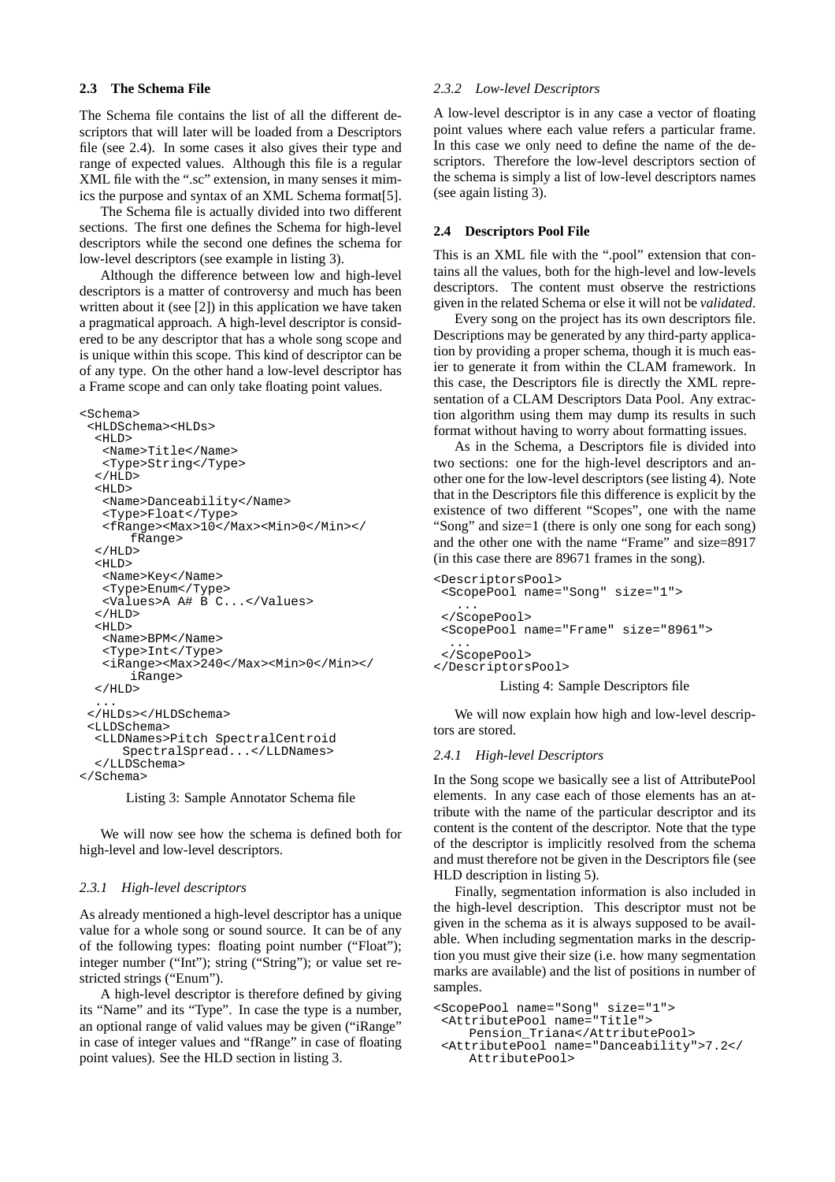## **2.3 The Schema File**

The Schema file contains the list of all the different descriptors that will later will be loaded from a Descriptors file (see 2.4). In some cases it also gives their type and range of expected values. Although this file is a regular XML file with the ".sc" extension, in many senses it mimics the purpose and syntax of an XML Schema format[5].

The Schema file is actually divided into two different sections. The first one defines the Schema for high-level descriptors while the second one defines the schema for low-level descriptors (see example in listing 3).

Although the difference between low and high-level descriptors is a matter of controversy and much has been written about it (see [2]) in this application we have taken a pragmatical approach. A high-level descriptor is considered to be any descriptor that has a whole song scope and is unique within this scope. This kind of descriptor can be of any type. On the other hand a low-level descriptor has a Frame scope and can only take floating point values.

```
<Schema>
 <HLDSchema><HLDs>
  <HT,D>
   <Name>Title</Name>
   <Type>String</Type>
  </HLD><HT.D><Name>Danceability</Name>
   <Type>Float</Type>
   <fRange><Max>10</Max><Min>0</Min></
       fRange>
  </HLD><HLD><Name>Key</Name>
   <Type>Enum</Type>
   <Values>A A# B C...</Values>
  </HLD>
  <HT.D><Name>BPM</Name>
   <Type>Int</Type>
   <iRange><Max>240</Max><Min>0</Min></
      iRange>
  </HLD>
  ...
 </HLDs></HLDSchema>
 <LLDSchema>
  <LLDNames>Pitch SpectralCentroid
      SpectralSpread...</LLDNames>
  </LLDSchema>
</Schema>
```
Listing 3: Sample Annotator Schema file

We will now see how the schema is defined both for high-level and low-level descriptors.

### *2.3.1 High-level descriptors*

As already mentioned a high-level descriptor has a unique value for a whole song or sound source. It can be of any of the following types: floating point number ("Float"); integer number ("Int"); string ("String"); or value set restricted strings ("Enum").

A high-level descriptor is therefore defined by giving its "Name" and its "Type". In case the type is a number, an optional range of valid values may be given ("iRange" in case of integer values and "fRange" in case of floating point values). See the HLD section in listing 3.

#### *2.3.2 Low-level Descriptors*

A low-level descriptor is in any case a vector of floating point values where each value refers a particular frame. In this case we only need to define the name of the descriptors. Therefore the low-level descriptors section of the schema is simply a list of low-level descriptors names (see again listing 3).

#### **2.4 Descriptors Pool File**

This is an XML file with the ".pool" extension that contains all the values, both for the high-level and low-levels descriptors. The content must observe the restrictions given in the related Schema or else it will not be *validated*.

Every song on the project has its own descriptors file. Descriptions may be generated by any third-party application by providing a proper schema, though it is much easier to generate it from within the CLAM framework. In this case, the Descriptors file is directly the XML representation of a CLAM Descriptors Data Pool. Any extraction algorithm using them may dump its results in such format without having to worry about formatting issues.

As in the Schema, a Descriptors file is divided into two sections: one for the high-level descriptors and another one for the low-level descriptors (see listing 4). Note that in the Descriptors file this difference is explicit by the existence of two different "Scopes", one with the name "Song" and size=1 (there is only one song for each song) and the other one with the name "Frame" and size=8917 (in this case there are 89671 frames in the song).

```
<DescriptorsPool>
 <ScopePool name="Song" size="1">
   ...
</ScopePool>
<ScopePool name="Frame" size="8961">
  ...
 </ScopePool>
</DescriptorsPool>
         Listing 4: Sample Descriptors file
```
We will now explain how high and low-level descriptors are stored.

### *2.4.1 High-level Descriptors*

In the Song scope we basically see a list of AttributePool elements. In any case each of those elements has an attribute with the name of the particular descriptor and its content is the content of the descriptor. Note that the type of the descriptor is implicitly resolved from the schema and must therefore not be given in the Descriptors file (see HLD description in listing 5).

Finally, segmentation information is also included in the high-level description. This descriptor must not be given in the schema as it is always supposed to be available. When including segmentation marks in the description you must give their size (i.e. how many segmentation marks are available) and the list of positions in number of samples.

```
<ScopePool name="Song" size="1">
<AttributePool name="Title">
    Pension_Triana</AttributePool>
<AttributePool name="Danceability">7.2</
    AttributePool>
```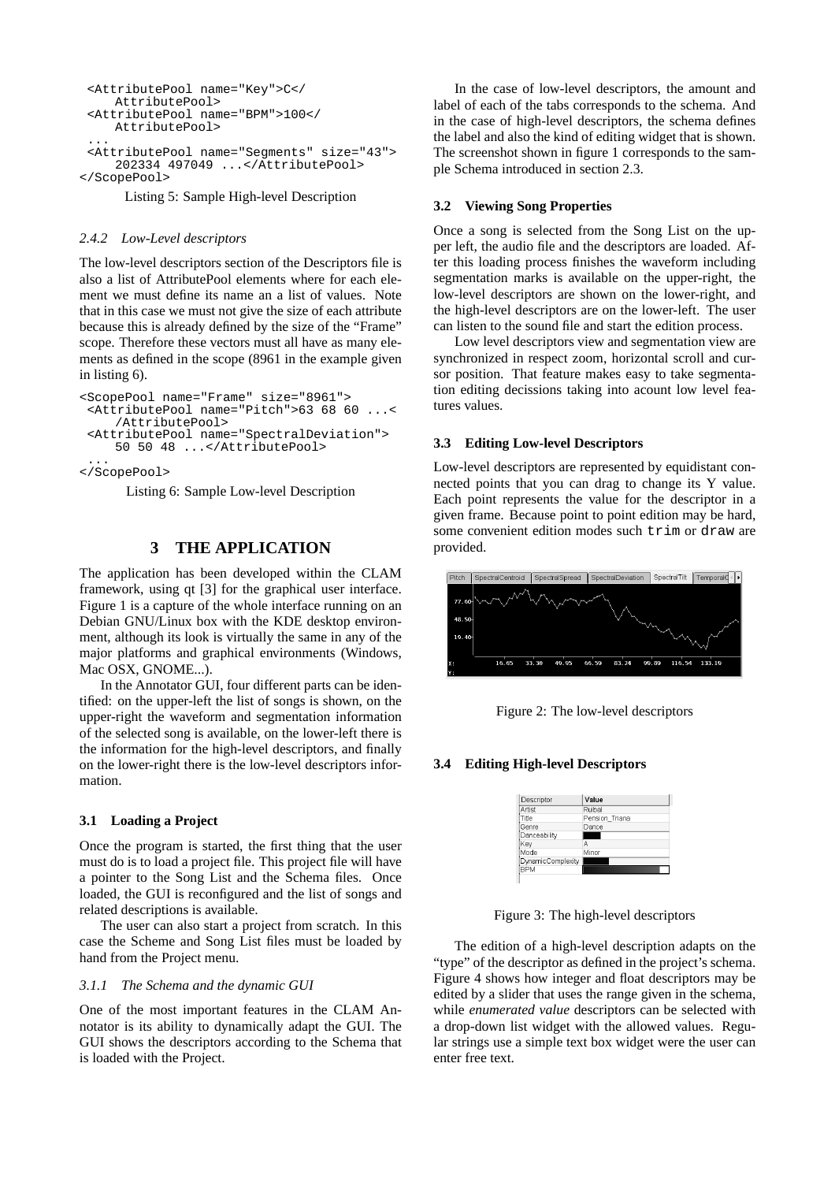```
<AttributePool name="Key">C</
    AttributePool>
 <AttributePool name="BPM">100</
    AttributePool>
...
<AttributePool name="Segments" size="43">
    202334 497049 ...</AttributePool>
</ScopePool>
```
Listing 5: Sample High-level Description

### *2.4.2 Low-Level descriptors*

The low-level descriptors section of the Descriptors file is also a list of AttributePool elements where for each element we must define its name an a list of values. Note that in this case we must not give the size of each attribute because this is already defined by the size of the "Frame" scope. Therefore these vectors must all have as many elements as defined in the scope (8961 in the example given in listing 6).

```
<ScopePool name="Frame" size="8961">
<AttributePool name="Pitch">63 68 60 ...<
    /AttributePool>
<AttributePool name="SpectralDeviation">
    50 50 48 ...</AttributePool>
```
... </ScopePool>

Listing 6: Sample Low-level Description

## **3 THE APPLICATION**

The application has been developed within the CLAM framework, using qt [3] for the graphical user interface. Figure 1 is a capture of the whole interface running on an Debian GNU/Linux box with the KDE desktop environment, although its look is virtually the same in any of the major platforms and graphical environments (Windows, Mac OSX, GNOME...).

In the Annotator GUI, four different parts can be identified: on the upper-left the list of songs is shown, on the upper-right the waveform and segmentation information of the selected song is available, on the lower-left there is the information for the high-level descriptors, and finally on the lower-right there is the low-level descriptors information.

## **3.1 Loading a Project**

Once the program is started, the first thing that the user must do is to load a project file. This project file will have a pointer to the Song List and the Schema files. Once loaded, the GUI is reconfigured and the list of songs and related descriptions is available.

The user can also start a project from scratch. In this case the Scheme and Song List files must be loaded by hand from the Project menu.

### *3.1.1 The Schema and the dynamic GUI*

One of the most important features in the CLAM Annotator is its ability to dynamically adapt the GUI. The GUI shows the descriptors according to the Schema that is loaded with the Project.

In the case of low-level descriptors, the amount and label of each of the tabs corresponds to the schema. And in the case of high-level descriptors, the schema defines the label and also the kind of editing widget that is shown. The screenshot shown in figure 1 corresponds to the sample Schema introduced in section 2.3.

## **3.2 Viewing Song Properties**

Once a song is selected from the Song List on the upper left, the audio file and the descriptors are loaded. After this loading process finishes the waveform including segmentation marks is available on the upper-right, the low-level descriptors are shown on the lower-right, and the high-level descriptors are on the lower-left. The user can listen to the sound file and start the edition process.

Low level descriptors view and segmentation view are synchronized in respect zoom, horizontal scroll and cursor position. That feature makes easy to take segmentation editing decissions taking into acount low level features values.

### **3.3 Editing Low-level Descriptors**

Low-level descriptors are represented by equidistant connected points that you can drag to change its Y value. Each point represents the value for the descriptor in a given frame. Because point to point edition may be hard, some convenient edition modes such trim or draw are provided.



Figure 2: The low-level descriptors

### **3.4 Editing High-level Descriptors**

| Descriptor        | Value          |
|-------------------|----------------|
| Artist            | Ruibal         |
| Title             | Pension Triana |
| Genre             | Dance          |
| Danceability      |                |
| Kev               | А              |
| Mode              | Minor          |
| DynamicComplexity |                |
| <b>BPM</b>        |                |

Figure 3: The high-level descriptors

The edition of a high-level description adapts on the "type" of the descriptor as defined in the project's schema. Figure 4 shows how integer and float descriptors may be edited by a slider that uses the range given in the schema, while *enumerated value* descriptors can be selected with a drop-down list widget with the allowed values. Regular strings use a simple text box widget were the user can enter free text.